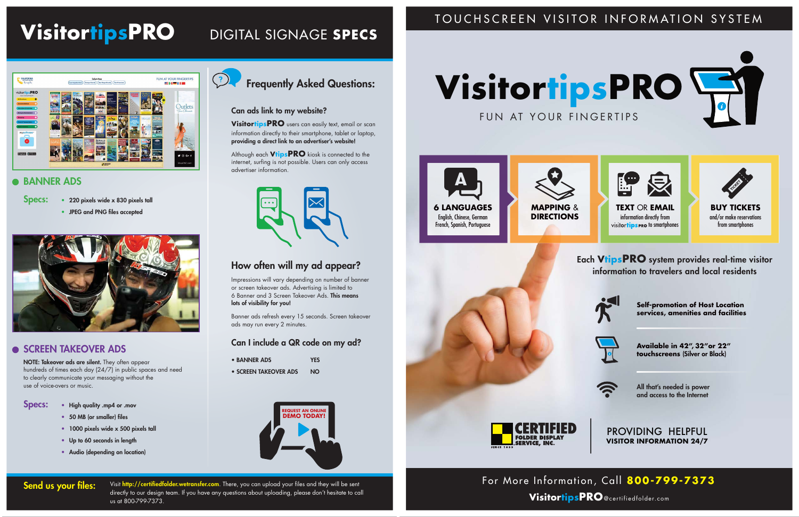#### TOUCHSCREEN VISITOR INFORMATION SYSTEM



PROVIDING HELPFUL **VISITOR INFORMATION 24/7**

All that's needed is power and access to the Internet

**Available in 42", 32"or 22" touchscreens** (Silver or Black)







**Self-promotion of Host Location services, amenities and facilities**



information to travelers and local residents



# **VisitortipsPRO**@certifiedfolder.com



# **VisitortipsPRO**

FUN AT YOUR FINGERTIPS

#### DIGITAL SIGNAGE **SPECS**

## FUN AT YOUR FINGERTIPS CALIFORNIA 211-118 **Dutlets**  $\bullet$

#### **BANNER ADS**

Specs: • 220 pixels wide x 830 pixels tall



- BANNER ADS YES
- SCREEN TAKEOVER ADS NO

# **VisitortipsPRO**

#### Frequently Asked Questions:

#### Can ads link to my website?

Send us your files: Visit http://certifiedfolder.wetransfer.com. There, you can upload your files and they will be sent directly to our design team. If you have any questions about uploading, please don't hesitate to call us at 800-799-7373.

**VisitortipsPRO** users can easily text, email or scan information directly to their smartphone, tablet or laptop, providing a direct link to an advertiser's website!

Although each **VtipsPRO** kiosk is connected to the internet, surfing is not possible. Users can only access advertiser information.



#### How often will my ad appear?

Impressions will vary depending on number of banner or screen takeover ads. Advertising is limited to 6 Banner and 3 Screen Takeover Ads. This means lots of visibility for you!

Banner ads refresh every 15 seconds. Screen takeover ads may run every 2 minutes.

#### Can I include a QR code on my ad?

• JPEG and PNG files accepted



#### **SCREEN TAKEOVER ADS**

NOTE: Takeover ads are silent. They often appear hundreds of times each day (24/7) in public spaces and need to clearly communicate your messaging without the use of voice-overs or music.

Specs: • High quality .mp4 or .mov

- 50 MB (or smaller) files
- 1000 pixels wide x 500 pixels tall
- Up to 60 seconds in length
- Audio (depending on location)